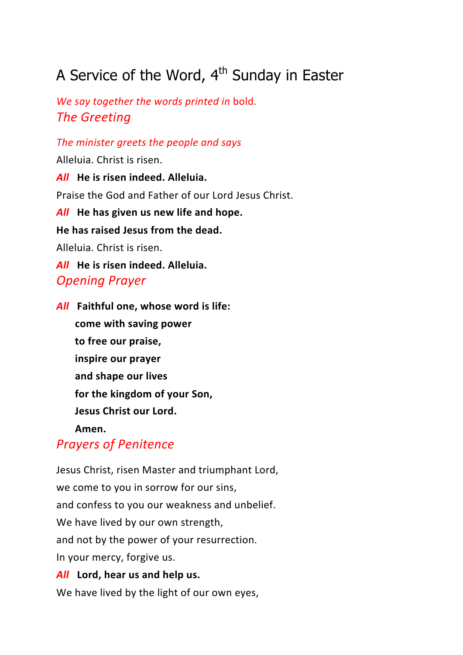# A Service of the Word,  $4<sup>th</sup>$  Sunday in Easter

*We say together the words printed in bold. The Greeting*

The minister greets the people and says

Alleluia. Christ is risen. **All** He is risen indeed. Alleluia. Praise the God and Father of our Lord Jesus Christ. All He has given us new life and hope. **He has raised Jesus from the dead.** Alleluia. Christ is risen. **All** He is risen indeed. Alleluia. *Opening Prayer*

**All** Faithful one, whose word is life: **come with saving power to free our praise, inspire our prayer and shape our lives** for the kingdom of your Son, **Jesus Christ our Lord. Amen.**

# *Prayers of Penitence*

Jesus Christ, risen Master and triumphant Lord, we come to you in sorrow for our sins, and confess to you our weakness and unbelief. We have lived by our own strength, and not by the power of your resurrection. In your mercy, forgive us. **All** Lord, hear us and help us.

We have lived by the light of our own eyes,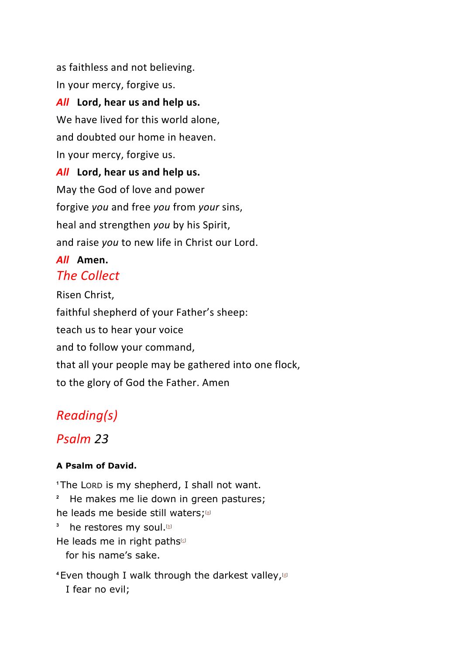as faithless and not believing. In your mercy, forgive us. **All** Lord, hear us and help us. We have lived for this world alone, and doubted our home in heaven. In your mercy, forgive us. All Lord, hear us and help us. May the God of love and power forgive *you* and free *you* from *your* sins, heal and strengthen *you* by his Spirit, and raise *you* to new life in Christ our Lord.

#### *All* **Amen.** *The Collect*

Risen Christ, faithful shepherd of your Father's sheep: teach us to hear your voice and to follow your command, that all your people may be gathered into one flock, to the glory of God the Father. Amen

# *Reading(s)*

# *Psalm 23*

### **A Psalm of David.**

**<sup>1</sup>**The LORD is my shepherd, I shall not want.

<sup>2</sup> He makes me lie down in green pastures; he leads me beside still waters;<sup>[a]</sup>

**3** he restores my soul.<sup>[b]</sup>

He leads me in right paths<sup>[c]</sup>

for his name's sake.

**<sup>4</sup>**Even though I walk through the darkest valley,[d] I fear no evil;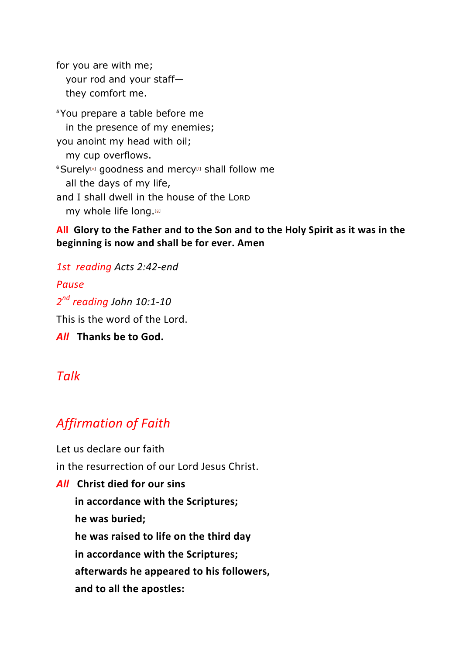for you are with me; your rod and your staff they comfort me.

**<sup>5</sup>**You prepare a table before me in the presence of my enemies; you anoint my head with oil; my cup overflows. **6** Surely<sup>®</sup> goodness and mercy<sup>®</sup> shall follow me all the days of my life, and I shall dwell in the house of the LORD my whole life long.<sup>[9]</sup>

**All** Glory to the Father and to the Son and to the Holy Spirit as it was in the beginning is now and shall be for ever. Amen

*1st reading Acts 2:42-end Pause* 2<sup>nd</sup> reading John 10:1-10 This is the word of the Lord. **All** Thanks be to God.

### *Talk*

# *Affirmation of Faith*

Let us declare our faith in the resurrection of our Lord Jesus Christ.

*All* **Christ died for our sins**

**in accordance with the Scriptures;** he was buried; he was raised to life on the third day in accordance with the Scriptures; **afterwards he appeared to his followers,** and to all the apostles: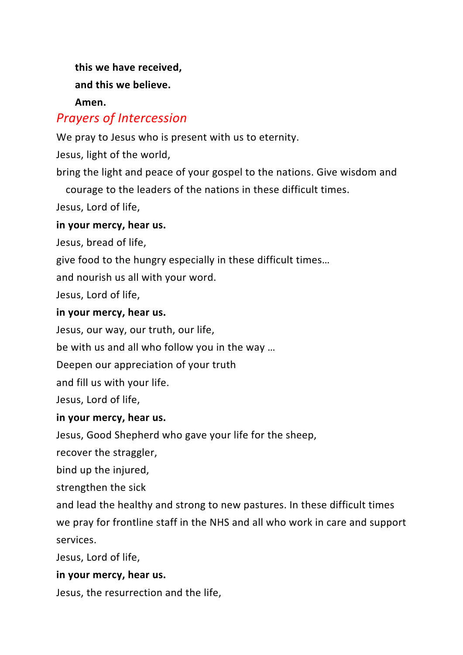this we have received, and this we believe. **Amen.**

# *Prayers of Intercession*

We pray to Jesus who is present with us to eternity.

Jesus, light of the world,

bring the light and peace of your gospel to the nations. Give wisdom and courage to the leaders of the nations in these difficult times.

Jesus, Lord of life,

#### in your mercy, hear us.

Jesus, bread of life,

give food to the hungry especially in these difficult times...

and nourish us all with your word.

Jesus, Lord of life,

#### in your mercy, hear us.

Jesus, our way, our truth, our life,

be with us and all who follow you in the way ...

Deepen our appreciation of your truth

and fill us with your life.

Jesus, Lord of life,

#### in your mercy, hear us.

Jesus, Good Shepherd who gave your life for the sheep,

recover the straggler,

bind up the injured,

strengthen the sick

and lead the healthy and strong to new pastures. In these difficult times we pray for frontline staff in the NHS and all who work in care and support services.

Jesus, Lord of life,

#### in your mercy, hear us.

Jesus, the resurrection and the life,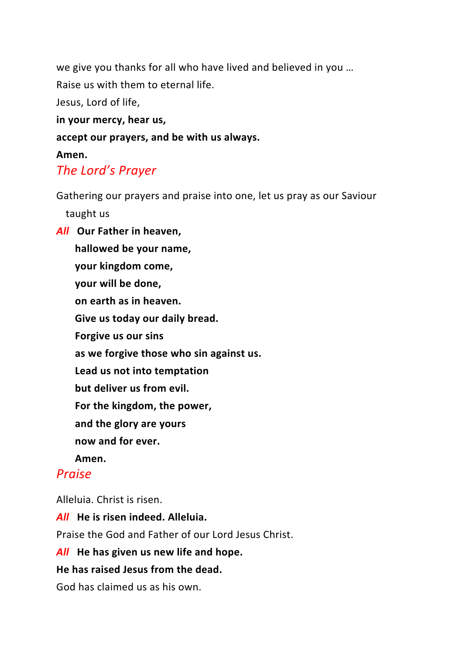we give you thanks for all who have lived and believed in you ...

Raise us with them to eternal life.

Jesus, Lord of life,

in your mercy, hear us,

accept our prayers, and be with us always.

#### **Amen.**

### **The Lord's Prayer**

Gathering our prayers and praise into one, let us pray as our Saviour

taught us

**All** Our Father in heaven,

hallowed be your name,

**your kingdom come,**

**your will be done,**

**on earth as in heaven.**

Give us today our daily bread.

**Forgive us our sins** 

as we forgive those who sin against us.

Lead us not into temptation

**but deliver us from evil.** 

For the kingdom, the power,

**and the glory are yours**

**now and for ever.**

**Amen.**

### *Praise*

Alleluia. Christ is risen.

**All** He is risen indeed. Alleluia.

Praise the God and Father of our Lord Jesus Christ.

#### All He has given us new life and hope.

#### **He has raised Jesus from the dead.**

God has claimed us as his own.